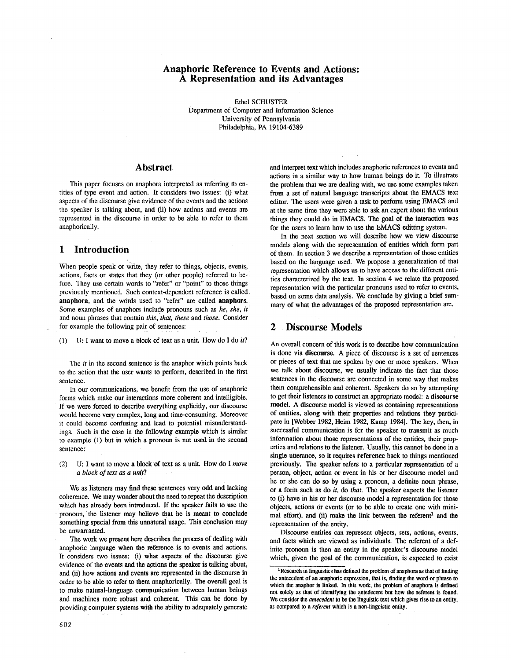## **Anaphorie Reference to Events and Actions: A Representation and its Advantages**

Ethel SCHUSTER Department of Computer and Information Science University of Pennsylvania Philadelphia, PA 19104-6389

## **Abstract**

This paper focuses on anaphora interpreted as referring to entities of type event and action. It considers two issues: (i) what aspects of the discourse give evidence of the events and the actions the speaker is talking about, and (ii) how actions and events are represented in the discourse in order to be able to refer to them anaphorically.

## **1** Introduction

When people speak or Write, they refer to things, objects, events, actions, facts or states that they (or other people) referred to before. They use certain words to "refer" or "point" to those things previously mentioned. Such context-dependent reference is called, anaphora, and the words used to "refer" are called anaphors. Some examples of anaphors include pronouns such as *he*, *she*, *it* and noun phrases that contain *this; that, these* and *those.* Consider for example the following pair of sentences:

(1) U: I want to move a 0lock of text as a unit. How do I do *it?* 

The *it* in the second sentence is the anaphor which points back to the action that the user wants to perform, described in the first sentence.

In our communications, we benefit from the use of anaphoric forms which make our interactions more coherent and intelligible. If we were forced to describe everything explicitly, our discourse would become very complex, long and time-consuming. Moreover it could become confusing and lead to potential misunderstandings. Such is the case in the following example which is similar to example (1) but in which a pronoun is not used in the second sentence:

(2) U: I want to move a block of text as a unit. How do I *move a block of text as a unit?* 

We as listeners may find these sentences very odd and lacking coherence. We may wonder about the need to repeat the description which has already been introduced. If the speaker fails to use the pronoun, 'the listener may believe that he is meant to conclude something special from this unnatural usage. This conclusion may be unwarranted.

The work we present here describes the process of dealing with anaphoric language when the reference is to events and actions. It considers two issues: (i) what aspects of the discourse give evidence of the events and the actions the speaker is talking about, and (ii) how actions and events are represented in the discourse in order to be able to refer to them anaphorically. The overall goal is to make natural-language communication between human beings and machines more robust and coherent. This can be done by providing computer systems with the ability to adequately generate and interpret text which includes anaphoric references to events and actions in a similar way to how human beings do it. To illustrate the problem that we are dealing with, we use some examples taken from a set of natural language transcripts about the EMACS text editor. The users were given a task to perform using EMACS and at the same time they were able to ask an expert about the various things they could do in EMACS. The goal of the interaction was for the users to learn how to use the EMACS editting system.

In the next section we will describe how we view discourse models along with the representation of entities which form part of them. In section 3 we describe a representation of those entities based on the language used. We propose a generalization of that representation which allows us to have access to the different entities characterized by the text. In section 4 we relate the proposed representation with the particular pronouns used to refer to events, based on some data analysis. We conclude by giving a brief summary of what the advantages of the proposed representation are.

## **2 Discourse** Models

An overall concern of this work is to describe how communication is done via discourse. A piece of discourse is a set of sentences or pieces of text that are spoken by one or more speakers. When we talk about discourse, we usually indicate the fact that those sentences in the discourse are connected in some way that makes them comprehensible and coherent. Speakers do so by attempting to get their listeners to construct an appropriate model: a **discourse model.** A discourse model is viewed as containing representations of entities, along with their properties and relations they participate in [Webber 1982, Heim 1982, Kamp 1984]. The key, then, in successful communication is for the speaker to transmit as much information about those representations of the entities, their properties and relations to the listener. Usually, this cannot be done in a single utterance, so it requires reference back to things mentioned previously. The speaker refers to a particular representation of a person, object, action or event in his or her discourse model and he or she can do so by using a pronoun, a definite noun phrase, or a form such as do *it,* do *that.* The speaker expects the listener to (i) have in his or her discourse model a representation for those objects, actions or events (or to be able to create one with minimal effort), and (ii) make the link between the referent<sup>1</sup> and the representation of the entity.

Discourse entities can represent objects, sets, actions, events, and facts which are viewed as individuals. The referent of a definite pronoun is then an entity in the speaker's discourse model which, given the goal of the communication, is expected to exist

<sup>&</sup>lt;sup>1</sup> Research in linguistics has defined the problem of anaphora as that of finding the antecedent of an anaphoric expression, that is, finding the word or phrase to which the anaphor is linked. In this work, the problem of anaphora is defined not solely as that of identifying the antedecent but how the referent is found. We consider the *antecedent to be the* linguistic text which gives rise to an entity, as compared to a *referent* which is a non-linguistic entity.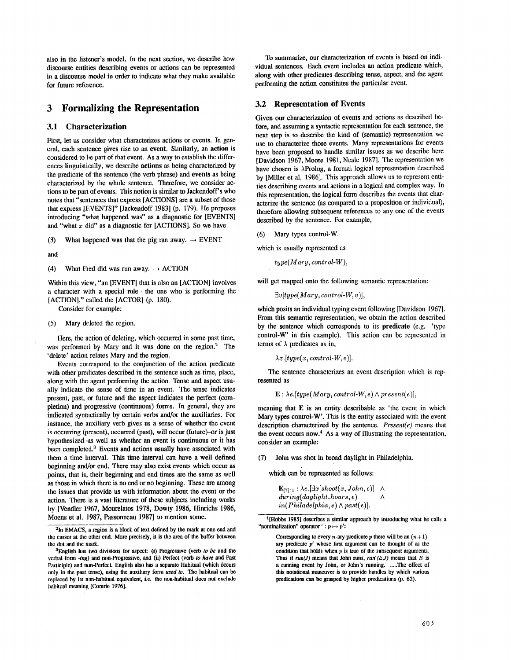also in the listener's model. In the next section, we describe how discourse entities describing events or actions can be represented in a discourse model in order to indicate what they make available for future reference.

## **3 Formalizing the Representation**

### 3.1 Characterization

First, let us consider what characterizes actions or events. In general, each sentence gives rise to an event. Similarly, an action is considered to be part of that event. As a way to establish the differences linguistically, we describe actions as being characterized by the predicate of the sentence (the verb phrase) and events as being characterized hy the whole sentence. Therefore, we consider actions to be part of events. This notion is similar to Jackendoff's who notes that "sentences that express [ACTIONS] are a subset of those that express [EVENTS]" [Jaekendoff 1983] (p. 179). He proposes introducing "what happened was" as a diagnostic for [EVENTS] and "what  $x$  did" as a diagnostic for [ACTIONS]. So we have

(3) What happened was that the pig ran away.  $\rightarrow$  EVENT

and

(4) What Fred did was run away.  $\rightarrow$  ACTION

Within this view, "an [EVENT] that is also an [ACTION] involves a character with a special role- the one who is performing the [ACTION]," called the [ACTOR] (p. 180).

Consider for example:

(5) Mary deleted the region.

Here, the action of deleting, which occurred in some past time, was performed by Mary and it was done on the region.<sup>2</sup> The 'delete' action relates Mary and the region.

Events correspond to the conjunction of the action predicate with other predicates described in the sentence such as time, place, along with the agent performing the action. Tense and aspect usually indicate the sense of time in an event. The tense indicates present, past, or future and the aspect indicates the perfect (completion) and progressive (continuous) forms. In general, they are indicated syntactically by certain verbs and/or the auxiliaries. For instance, the auxiliary verb gives us a sense of whether the event is occurring (present), occurred (past), will occur (future) or is just hypothesized-as well as whether an event is continuous or it has been completed.<sup>3</sup> Events and actions usually have associated with them a time interval. This time interval can have a well defined beginning and/or end. There may also exist events which occur as points, that is, their beginning and end times are the same as well as those in which there is no end or no beginning. These are among the issues that provide us with information about the event or the action. There is a vast literature of these subjects including works by [Vendler 1967, Mourelatos 1978, Dowty 1986, Hinrichs 1986, Moens et al. 1987, Passonneau 1987] to mention some.

To summarize, our characterization of events is based on individual sentences. Each event includes an action predicate which, along with other predicates describing tense, aspect, and the agent performing the action constitutes the particular event.

#### 3.2 **Representation of** Events

Given our characterization of events and actions as described before, and assuming a syntactic representation for each sentence, the next step is to describe the kind of (semantic) representation we use to characterize those events. Many representations for events have been proposed to handle similar issues as we describe here [Davidson 1967, Moore 1981, Neale 1987]. The representation we have chosen is  $\lambda$ Prolog, a formal logical representation described by [Miller et al. 1986]. This approach allows us to represent entities describing events and actions in a logical and complex way. In this representation, the logical form describes the events that characterize the sentence (as compared to a proposition or individual), therefore allowing subsequent references to any one of the events described by the sentence. For example,

(6) Mary types control-W.

which is usually represented as

*type(Mary, control-W),* 

will get mapped onto the following semantic representation:

*3v[type( Mary, control-W,* v)],

which posits an individual typing event following [Davidson 1967]. From this semantic representation, we obtain the action described by the sentence which corresponds to its predicate (e.g. 'type control-W' in this example). This action can be represented in terms of  $\lambda$  predicates as in,

 $\lambda x.$ [type(x, control-W, e)].

The sentence characterizes an event description which is represented as

 $E : \lambda e. [type(Mary, control-W, e) \wedge present(e)],$ 

meaning that E is an entity describable as 'the event in which Mary types control-W'. This is the entity associated with the event description characterized by the sentence. *Present(e)* means that the event occurs now. $4$  As a way of illustrating the representation, consider an example:

(7) John was shot in broad daylight in Philadelphia.

which can be represented as follows:

 $\mathbf{E}_{(7)-1}$ :  $\lambda e. [\exists x[shoot(x, John, e)] \ \wedge$ *during(daylight\_hours, e) A in(Philadelphia, e) A past(e)].* 

4[Hobbs 1985] describes a similar approach by introducing what he calls a "nominalization" operator  $' : p \mapsto p'$ :

Corresponding to every *n*-ary predicate *p* there will be an  $(n+1)$ ary predicate  $p'$  whose first argument can be thought of as the condition that holds when  $p$  is true of the subsequent arguments. Thus if  $run(J)$  means that John runs,  $run'(E,J)$  means that  $E$  is a running event by John, or John's running. .....The effect of this notational maneuver is to provide handles by which various predications can be grasped by higher predications (p. 62).

<sup>&</sup>lt;sup>2</sup>In EMACS, a region is a block of text defined by the mark at one end and the cursor at the other end. More precisely, it is the area of the buffer between the dot and the mark.

aEnglish has two divisions for aspect: (i) Progressive (verb *to be* and the verbal form -ing) and non-Progressive, and (ii) Perfect (verb to have and Past Participle) and non-Perfect. English also has a separate Habitual (which occurs only in the past tense), using the auxiliary form *used to. The* habitual can be replaced by its non-habitual equivalent, i.e. the non-habitual does not exclude habitual meaning [Comrie 1976].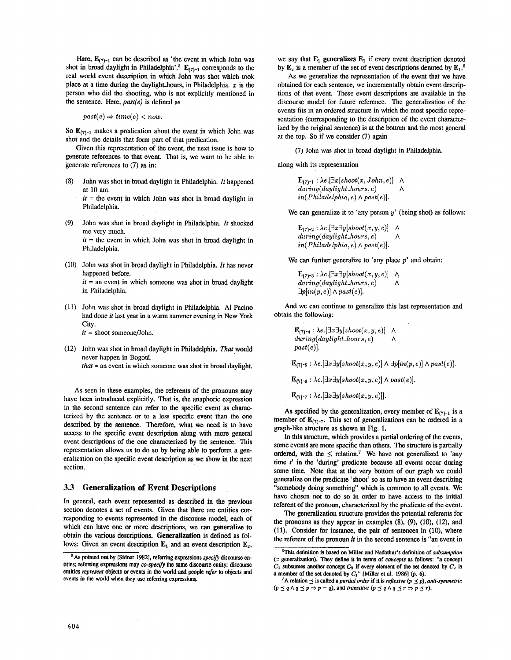Here,  $E_{(7)-1}$  can be described as 'the event in which John was shot in broad daylight in Philadelphia'.<sup>5</sup>  $E_{(7)-1}$  corresponds to the real world event description in which John was shot which took place at a time during the daylight\_hours, in Philadelphia.  $x$  is the person who did the shooting, who is not explicitly mentioned in the sentence. Here, *past(e)* is defined as

 $past(e) \Rightarrow time(e) < now.$ 

So  $\mathbf{E}_{(7)-1}$  makes a predication about the event in which John was shot and the details that form part of that predication.

Given this representation of the event, the next issue is how to generate references to that event. That is, we want to be able to generate references to (7) as in:

(8) John was shot in broad daylight in Philadelphia. *It* happened at 10 am.

 $it =$  the event in which John was shot in broad daylight in Philadelphia.

(9) John was shot in broad daylight in Philadelphia. *It* shocked me very much.  $it =$  the event in which John was shot in broad daylight in

Philadelphia.

- (10) John was shot in broad daylight in Philadelphia. *It* has never happened before.  $it =$  an event in which someone was shot in broad daylight in Philadelphia.
- (11) John was shot in broad daylight in Philadelphia. AI Pacino had done *it* last year in a warm summer evening in New York City.

*it* = shoot someone/John.

(12) John was shot in broad daylight in Philadelphia. *That* would never happen in Bogotá. *that* = an event in which someone was shot in broad daylight.

As seen in these examples, the referents of the pronouns may have been introduced explicitly. That is, the anaphoric expression in the second sentence can refer to the specific event as characterized by the sentence or to a less specific event than the one described by the sentence. Therefore, what we need is to have access to the specific event description along with more general event descriptions of the one characterized by the sentence. This representation allows us to do so by being able to perform a generalization on the specific event description as we show in the next section.

#### **3.3 Generalization of Event Descriptions**

In general, each event represented as described in the previous section denotes a set of events. Given that there are entities corresponding to events represented in the discourse model, each of which can have one or more descriptions, we can generalize to obtain the various descriptions. Generalization is defined as follows: Given an event description  $\mathbf{E}_1$  and an event description  $\mathbf{E}_2$ ,

we say that  $E_1$  generalizes  $E_2$  if every event description denoted by  $E_2$  is a member of the set of event descriptions denoted by  $E_1$ .<sup>6</sup>

As we generalize the representation of the event that we have obtained for each sentence, we incrementally obtain event descriptions of that event. These event descriptions are available in the discourse model for future reference. The generalization of the events fits in an ordered structure in which the most specific representation (corresponding to the description of the event characterized by the original sentence) is at the bottom and the most general at the top. So if we consider (7) again

(7) John was shot in broad daylight in Philadelphia.

along with its representation

 $\mathbf{E}_{(7)-1}$ :  $\lambda e. [\exists x[shoot(x, John, e)] \wedge$ *during(daylight\_hours, e) A in(Philadelphia, e) A past(e)].* 

We can generalize it to 'any person  $y'$  (being shot) as follows:

 $\mathbf{E}_{(7)-2}$  :  $\lambda e.[\exists x \exists y[shoot(x,y,e)] \quad \wedge$ *during(daylight\_hours, e) A in(Philadelphia, e) A past(e)].* 

We can further generalize to 'any place  $p$ ' and obtain:

 $\mathbf{E}_{(7)-3}: \lambda e.[\exists x \exists y[shoot(x,y,e)] \quad \wedge$  $during (daylight\_hours, e)$ *3p[in(p,* e)] A *past(e)].* 

And we can continue to generalize this last representation and obtain the following:

> $\mathbf{E}_{(7)-4}: \lambda e. [\exists x \exists y [shoot(x,y,e)] \quad \wedge$ *during(daylight\_hours, e) A past(e)].*

 $\mathbf{E}_{(7)-5}$ :  $\lambda e.[\exists x \exists y[shoot(x, y, e)] \wedge \exists p [in(p, e)] \wedge past(e)].$ 

 $\mathbf{E}_{(7)-6}$ :  $\lambda e.$ [ $\exists x \exists y [shoot(x, y, e)] \wedge past(e)$ ].

 $\mathbf{E}_{(7)-7}: \lambda e.[\exists x \exists y [shot(x, y, e)]].$ 

As specified by the generalization, every member of  $E_{(7)-1}$  is a member of  $\mathbf{E}_{(7)-7}$ . This set of generalizations can be ordered in a graph-like structure as shown in Fig. 1.

In this structure, which provides a partial ordering of the events, some events are more specific than others. The structure is partially ordered, with the  $\leq$  relation.<sup>7</sup> We have not generalized to 'any time  $t'$  in the 'during' predicate because all events occur during some time. Note that at the very bottom of our graph we could generalize on the predicate 'shoot' so as to have an event describing "somebody doing something" which is common to all events. We have chosen not to do so in order to have access to the initial referent of the pronoun, characterized by the predicate of the event.

The generalization structure provides the potential referents for the pronouns as they appear in examples  $(8)$ ,  $(9)$ ,  $(10)$ ,  $(12)$ , and (11). Consider for instance, the pair of sentences in (10), where the referent of the pronoun *it* in the second sentence is "an event in

**<sup>5</sup>As pointed out by [Sidner 1982],** referring expressions *specify* discourse **en**tities; referring expressions may *co-specify* the same discourse entity; discourse entities *represent* objects or events in the world and people *refer to* objects and events in the **world when** they use referring expressions.

<sup>6</sup>This definition is based on Millet and Nadathur's definition of *subsumption*  (= generalization). They define it in terms of *concepts as* follows: "a concept  $C_1$  subsumes another concept  $C_2$  if every element of the set denoted by  $C_2$  is **a** member of the set denoted by  $C_1$ <sup>"</sup> [Miller et al. 1986] (p. 6).

<sup>&</sup>lt;sup>7</sup>A relation  $\preceq$  is called a *partial order* if it is *reflexive* ( $p \preceq p$ ), anti-symmetric  $(p \preceq q \land q \preceq p \Rightarrow p = q)$ , and *transitive*  $(p \preceq q \land q \preceq r \Rightarrow p \preceq r)$ .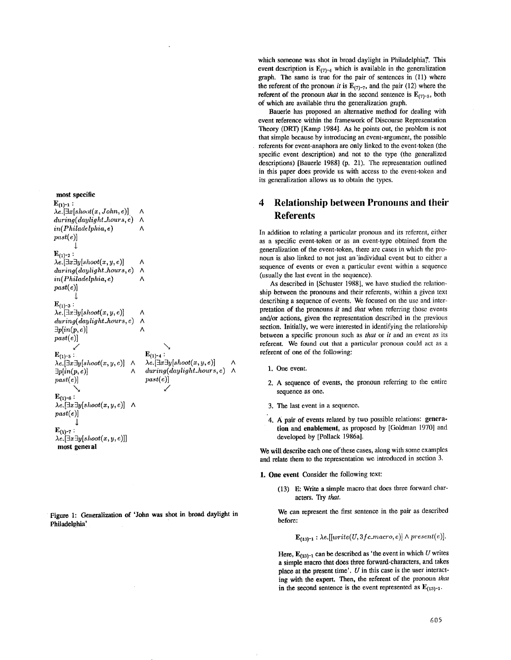**most specific** 

 $E_{(1)-1}$ :  $\lambda e.$ [*3x* [*shoot*(*x*, *John*, *e*)].  $\Lambda$ *during(daylight\_hours, e)*   $\Lambda$ *in(Philadelphia, e)*   $\wedge$  $past(e)]$  $\downarrow$  $E_{(1)-2}$ :  $\lambda e.$ [ $\exists x \exists y [shoot(x, y, e)]$ ] Λ *during(daylight\_hours, e)*   $\wedge$ *in(Philadelphia, e)*   $\Lambda$ past(e)]  $\mathbf{I}$  $E_{(1)-3}$  :  $\lambda e.$ [ $\exists x \exists y$ [shoot $(x, y, e)$ ]  $\Lambda$ *during(daylight\_hours, e)*   $\Lambda$ *3p[in(p,e)]*   $\Lambda$  $past(e)]$ /  $E_{(1)-4}$  :  ${\bf E}_{(1)^{-5}}:$  $\lambda e. [\exists x \exists y [shoot(x, y, e)] \quad \wedge$  $\lambda e.$ [ $\exists x \exists y$ [shoot(x, y, e)] *during(daylight\_hours , e)*   $\exists p[in(p, e)]$   $\wedge$  $past(e)]$ *past(e)] \*  /  ${\bf E}_{(1)-6}$ :  $\lambda e. [\exists x \exists y [shoot(x,y,e)] \quad \wedge$ *past(e)] 1*   $E_{(1)-7}$ :  $\lambda e. [\exists x \exists y [shoot(x, y, e)]]$ 

most **general** 

Figure 1: Generalization **of 'John was shot in** broad daylight in Philadelphia'

which someone was shot in broad daylight in Philadelphia?. This event description is  $E_{(7)-4}$  which is available in the generalization graph. The same is true for the pair of sentences in (11) where the referent of the pronoun *it* is  $E_{(7)-7}$ , and the pair (12) where the referent of the pronoun *that* in the second sentence is  $E_{(7)-5}$ , both of which are available thru the generalization graph.

Bauerle has proposed an alternative method for dealing with event reference within the framework of Disconrse Representation Theory (DRT) [Kamp 1984]. As he points out, the problem is not that simple because by introducing an event-argument, the possible referents for event-anaphora are only linked to the event-token (the specific event description) and not to the type (the generalized descriptions) [Bauerle 1988] (p. 21). The representation outlined in this paper does provide us with access to the event-token and its generalization allows us to obtain the types.

# **4 Relationship between Pronouns and their**  Referents

In addition to relating a particular pronoun and its referent, either as a specific event-token or as an event-type obtained from the generalization of the event-token, there are cases in which the pronoun is also linked to not just an'individual event but to either a sequence of events or even a particular event within a sequence (usually the last event in the sequence).

As described in [Schuster 1988], we have studied the relationship between the pronouns and their referents, within a given text describing a sequence of events. We focused on the use and interpretation of the pronouns *it* and *that* when referring those events and/or actions, given the representation described in tbe previous section. Initially, we were interested in identifying the relationship between a specific pronoun such as *that* or *it* and an event as its referent. We found out that a particular pronoun could act as a referent of one of the following:

- 1. One event.
- 2. A sequence of events, the pronoun referring to the entire sequence as one.
- 3. The last event in a sequence.
- 4. A pair of events related by two possible relations: generation and enablement, as proposed by [Goldman 1970] and developed by [Pollack 1986a].

We will describe each one of these cases, along with some examples and relate them to the representation we introduced in section 3.

- 1. One event Consider the following text:
	- (13) E: Write a simple macro that does three forward charaeters. Try *that.*

We can represent the first sentence in the pair as described before:

 $\mathbf{E}_{(13)-1}$  :  $\lambda e.[[write(U, 3fc.macro, e)] \wedge present(e)].$ 

Here,  $\mathbf{E}_{(13)-1}$  can be described as 'the event in which U writes a simple macro that does three forward-characters, and takes place at the present time'.  $U$  in this case is the user interacting with the expert. Then, the referent of the pronoun *that*  in the second sentence is the event represented as  $E_{(13)-1}$ .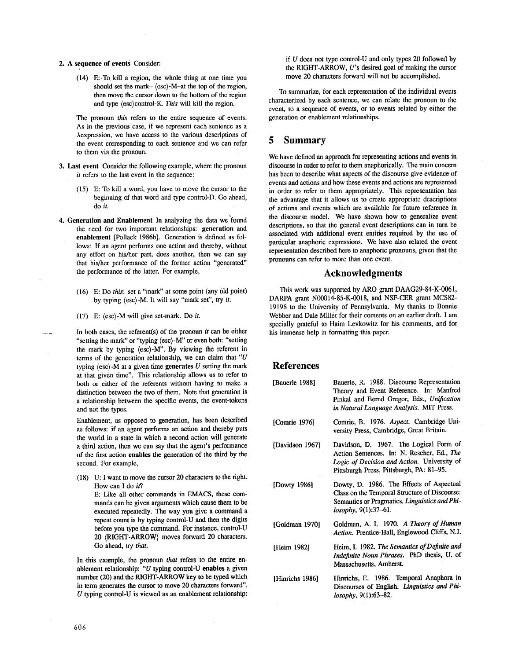#### 2. A sequence of events Consider:

 $(14)$  E: To kill a region, the whole thing at one time you should set the mark- (esc)-M-at the top of the region, then move the cursor down to the bottom of the region and type (esc)control-K. *This* will kill the region.

The pronoun *this* refers to the entire sequence of events. As in the previous case, if we represent each sentence as a Aexpression, we have access to the various descriptions of the event corresponding to each sentence and we can refer to them via the pronoun.

- 3. Last event Consider the following example, where the pronoun *it* refers to the last event in the sequence:
	- $(15)$  E: To kill a word, you have to move the cursor to the beginning of that word and type control-D. Go ahead, do *it.*
- 4. Generation and Enablement In analyzing the data we'found the need for two important relationships: generation and enablement [Pollack 1986b]. Generation is defined as follows: If an agent performs one action and thereby, without any effort on his/her part, does another, then we can say that his/her performance of the former action "generated" the performance of the latter. For example,
	- (16) E: Do *this:* set a "mark" at some point (any 01d point) by typing (esc)-M. It will say "mark set", try *it.*
	- (17) E: (esc)-M will give set-mark. Do *it.*

In both cases, the referent(s) of the pronoun *it* can be either "setting the mark" or "typing (esc)-M" or even both: "setting the mark by typing (esc)-M". By viewing the referent in terms of the generation relationship, we can claim that " $U$ typing  $\langle \csc \rangle$ -M at a given time generates U setting the mark at that given time". This relationship allows us to refer to both or either of the referents without having to make a distinction between the two of them. Note that generation is a relationship between the specific events, the event-tokens and not the types.

Enablement, as opposed to generation, has been described as follows: if an agent performs an action and thereby puts the world in a state in which a second action will generate a third action, then we can say that the agent's performance of the first action enables the generation of the third by the second. For example,

(18) U: I want to move the cursor 20 characters to the right. How can I do *it?* 

E: Like all other commands in EMACS, these commands can be given arguments which cause them to be executed repeatedly. The way you give a command a repeat count is by typing control-U and then the digits before you type the command. For instance, control-U 20 (RIGHT-ARROW} moves forward 20 characters. Go ahead, try *that.* 

In this example, the pronoun *that* refers to the entire enablement relationship: "U typing control-U enables a given number (20) and the RIGHT-ARROW key to be typed which in term generates the cursor to move 20 characters forward".  $U$  typing control-U is viewed as an enablement relationship: if U does not type control-U and only types 20 followed by the RIGHT-ARROW, U's desired goal of making the cursor move 20 characters forward will not be accomplished.

To summarize, for each representation of the individual events characterized by each sentence, we can relate the pronoun to the event, to a sequence of events, or to events related by either the generation or enablement relationships.

## **5** Summary

We have defined an approach for representing actions and events in discourse in order to refer to them anaphorically. The main concern has been to describe what aspects of the discourse give evidence of • events and actions and how these events and actions are represented in order to refer to them appropriately. This representation has the advantage that it allows us to create appropriate descriptions of actions and events which are available for future reference in the discourse model. We have shown how to generalize event • descriptions, so that the general event descriptions can in turn be associated with additional event entities required by the use of particular anaphoric expressions. We have also related the event representation described here to anaphoric pronouns, given that the pronouns can refer to more than one event.

#### Acknowledgments

This work was supported by ARO grant DAAG29-84-K-0061, DARPA grant N00014-85-K-0018, and NSF-CER grant MCS82- 19196 to the University of Pennsylvania. My thanks to Bonnie Webber and Dale Miller for their coments on an earlier draft. I am specially grateful to Haim Levkowitz for his comments, and for his immense help in formatting this paper.

### **References**

| [Bauerle 1988]  | Bauerle, R. 1988. Discourse Representation<br>Theory and Event Reference. In: Manfred<br>Pinkal and Bernd Gregor, Eds., Unification<br>in Natural Language Analysis. MIT Press. |
|-----------------|---------------------------------------------------------------------------------------------------------------------------------------------------------------------------------|
| [Comrie 1976]   | Comrie, B. 1976. Aspect. Cambridge Uni-<br>versity Press, Cambridge, Great Britain.                                                                                             |
| [Davidson 1967] | Davidson, D. 1967. The Logical Form of<br>Action Sentences. In: N. Rescher, Ed., The<br>Logic of Decision and Action. University of<br>Pittsburgh Press, Pittsburgh, PA: 81-95. |
| [Dowty $1986$ ] | Dowty, D. 1986. The Effects of Aspectual<br>Class on the Temporal Structure of Discourse:<br>Semantics or Pragmatics. Linguistics and Phi-<br>losophy, $9(1):37-61$ .           |
| [Goldman 1970]  | Goldman, A. I. 1970. A Theory of Human<br>Action. Prentice-Hall, Englewood Cliffs, N.J.                                                                                         |
| [Heim 1982]     | Heim, I. 1982. The Semantics of Definite and<br>Indefinite Noun Phrases. PhD thesis, U. of<br>Massachusetts, Amherst.                                                           |
| [Hinrichs 1986] | Hinrichs, E. 1986. Temporal Anaphora in<br>Discourses of English. Linguistics and Phi-<br>losophy, 9(1):63-82.                                                                  |